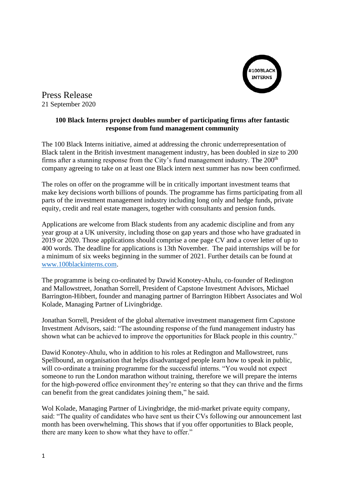

Press Release 21 September 2020

## **100 Black Interns project doubles number of participating firms after fantastic response from fund management community**

The 100 Black Interns initiative, aimed at addressing the chronic underrepresentation of Black talent in the British investment management industry, has been doubled in size to 200 firms after a stunning response from the City's fund management industry. The  $200<sup>th</sup>$ company agreeing to take on at least one Black intern next summer has now been confirmed.

The roles on offer on the programme will be in critically important investment teams that make key decisions worth billions of pounds. The programme has firms participating from all parts of the investment management industry including long only and hedge funds, private equity, credit and real estate managers, together with consultants and pension funds.

Applications are welcome from Black students from any academic discipline and from any year group at a UK university, including those on gap years and those who have graduated in 2019 or 2020. Those applications should comprise a one page CV and a cover letter of up to 400 words. The deadline for applications is 13th November. The paid internships will be for a minimum of six weeks beginning in the summer of 2021. Further details can be found at [www.100blackinterns.com.](http://www.100blackinterns.com/)

The programme is being co-ordinated by Dawid Konotey-Ahulu, co-founder of Redington and Mallowstreet, Jonathan Sorrell, President of Capstone Investment Advisors, Michael Barrington-Hibbert, founder and managing partner of Barrington Hibbert Associates and Wol Kolade, Managing Partner of Livingbridge.

Jonathan Sorrell, President of the global alternative investment management firm Capstone Investment Advisors, said: "The astounding response of the fund management industry has shown what can be achieved to improve the opportunities for Black people in this country."

Dawid Konotey-Ahulu, who in addition to his roles at Redington and Mallowstreet, runs Spellbound, an organisation that helps disadvantaged people learn how to speak in public, will co-ordinate a training programme for the successful interns. "You would not expect someone to run the London marathon without training, therefore we will prepare the interns for the high-powered office environment they're entering so that they can thrive and the firms can benefit from the great candidates joining them," he said.

Wol Kolade, Managing Partner of Livingbridge, the mid-market private equity company, said: "The quality of candidates who have sent us their CVs following our announcement last month has been overwhelming. This shows that if you offer opportunities to Black people, there are many keen to show what they have to offer."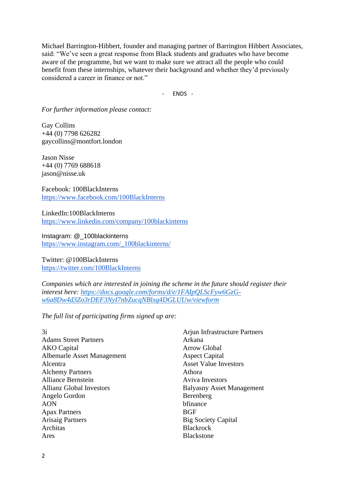Michael Barrington-Hibbert, founder and managing partner of Barrington Hibbert Associates, said: "We've seen a great response from Black students and graduates who have become aware of the programme, but we want to make sure we attract all the people who could benefit from these internships, whatever their background and whether they'd previously considered a career in finance or not."

- ENDS -

*For further information please contact:*

Gay Collins +44 (0) 7798 626282 gaycollins@montfort.london

Jason Nisse +44 (0) 7769 688618 jason@nisse.uk

Facebook: 100BlackInterns <https://www.facebook.com/100BlackInterns>

LinkedIn:100BlackInterns <https://www.linkedin.com/company/100blackinterns>

Instagram: @\_100blackinterns [https://www.instagram.com/\\_100blackinterns/](https://www.instagram.com/_100blackinterns/)

Twitter: @100BlackInterns <https://twitter.com/100BlackInterns>

*Companies which are interested in joining the scheme in the future should register their interest here: [https://docs.google.com/forms/d/e/1FAIpQLScFyw6GzG](https://docs.google.com/forms/d/e/1FAIpQLScFyw6GzG-w6a8Dw4d3Zo3rDEF3NyI7nbZucqNBlxg4DGLUUw/viewform)[w6a8Dw4d3Zo3rDEF3NyI7nbZucqNBlxg4DGLUUw/viewform](https://docs.google.com/forms/d/e/1FAIpQLScFyw6GzG-w6a8Dw4d3Zo3rDEF3NyI7nbZucqNBlxg4DGLUUw/viewform)*

*The full list of participating firms signed up are:*

3i Adams Street Partners AKO Capital Albemarle Asset Management Alcentra Alchemy Partners Alliance Bernstein Allianz Global Investors Angelo Gordon AON Apax Partners Arisaig Partners Architas Ares

Arjun Infrastructure Partners Arkana Arrow Global Aspect Capital Asset Value Investors Athora Aviva Investors Balyasny Asset Management Berenberg bfinance **BGF** Big Society Capital **Blackrock Blackstone**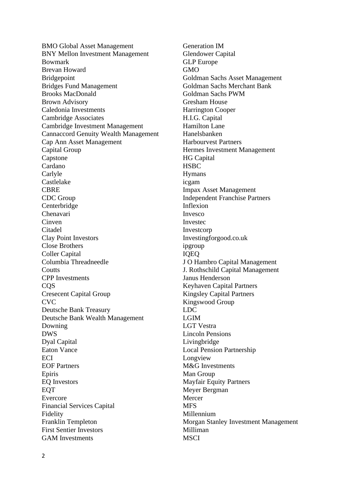BMO Global Asset Management BNY Mellon Investment Management Bowmark Brevan Howard Bridgepoint Bridges Fund Management Brooks MacDonald Brown Advisory Caledonia Investments Cambridge Associates Cambridge Investment Management Cannaccord Genuity Wealth Management Cap Ann Asset Management Capital Group Capstone Cardano Carlyle Castlelake **CBRE** CDC Group Centerbridge Chenavari **Cinven** Citadel Clay Point Investors Close Brothers Coller Capital Columbia Threadneedle **Coutts** CPP Investments CQS Cresecent Capital Group **CVC** Deutsche Bank Treasury Deutsche Bank Wealth Management Downing DWS Dyal Capital Eaton Vance **ECI** EOF Partners Epiris EQ Investors EQT Evercore Financial Services Capital Fidelity Franklin Templeton First Sentier Investors GAM Investments

Generation IM Glendower Capital GLP Europe GMO Goldman Sachs Asset Management Goldman Sachs Merchant Bank Goldman Sachs PWM Gresham House Harrington Cooper H.I.G. Capital Hamilton Lane Hanelsbanken Harbourvest Partners Hermes Investment Management HG Capital **HSBC** Hymans icgam Impax Asset Management Independent Franchise Partners Inflexion Invesco Investec Investcorp Investingforgood.co.uk ipgroup IQEQ J O Hambro Capital Management J. Rothschild Capital Management Janus Henderson Keyhaven Capital Partners Kingsley Capital Partners Kingswood Group LDC LGIM LGT Vestra Lincoln Pensions Livingbridge Local Pension Partnership Longview M&G Investments Man Group Mayfair Equity Partners Meyer Bergman Mercer **MFS** Millennium Morgan Stanley Investment Management Milliman **MSCI**